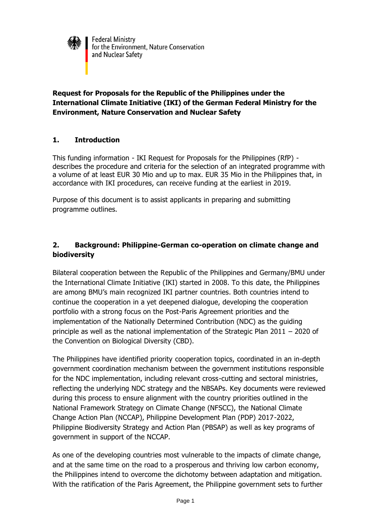

## **Request for Proposals for the Republic of the Philippines under the International Climate Initiative (IKI) of the German Federal Ministry for the Environment, Nature Conservation and Nuclear Safety**

## **1. Introduction**

This funding information - IKI Request for Proposals for the Philippines (RfP) describes the procedure and criteria for the selection of an integrated programme with a volume of at least EUR 30 Mio and up to max. EUR 35 Mio in the Philippines that, in accordance with IKI procedures, can receive funding at the earliest in 2019.

Purpose of this document is to assist applicants in preparing and submitting programme outlines.

# **2. Background: Philippine-German co-operation on climate change and biodiversity**

Bilateral cooperation between the Republic of the Philippines and Germany/BMU under the International Climate Initiative (IKI) started in 2008. To this date, the Philippines are among BMU's main recognized IKI partner countries. Both countries intend to continue the cooperation in a yet deepened dialogue, developing the cooperation portfolio with a strong focus on the Post-Paris Agreement priorities and the implementation of the Nationally Determined Contribution (NDC) as the guiding principle as well as the national implementation of the Strategic Plan 2011 – 2020 of the Convention on Biological Diversity (CBD).

The Philippines have identified priority cooperation topics, coordinated in an in-depth government coordination mechanism between the government institutions responsible for the NDC implementation, including relevant cross-cutting and sectoral ministries, reflecting the underlying NDC strategy and the NBSAPs. Key documents were reviewed during this process to ensure alignment with the country priorities outlined in the National Framework Strategy on Climate Change (NFSCC), the National Climate Change Action Plan (NCCAP), Philippine Development Plan (PDP) 2017-2022, Philippine Biodiversity Strategy and Action Plan (PBSAP) as well as key programs of government in support of the NCCAP.

As one of the developing countries most vulnerable to the impacts of climate change, and at the same time on the road to a prosperous and thriving low carbon economy, the Philippines intend to overcome the dichotomy between adaptation and mitigation. With the ratification of the Paris Agreement, the Philippine government sets to further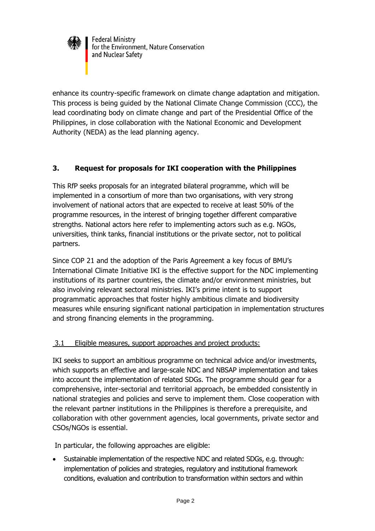

enhance its country-specific framework on climate change adaptation and mitigation. This process is being guided by the National Climate Change Commission (CCC), the lead coordinating body on climate change and part of the Presidential Office of the Philippines, in close collaboration with the National Economic and Development Authority (NEDA) as the lead planning agency.

# **3. Request for proposals for IKI cooperation with the Philippines**

This RfP seeks proposals for an integrated bilateral programme, which will be implemented in a consortium of more than two organisations, with very strong involvement of national actors that are expected to receive at least 50% of the programme resources, in the interest of bringing together different comparative strengths. National actors here refer to implementing actors such as e.g. NGOs, universities, think tanks, financial institutions or the private sector, not to political partners.

Since COP 21 and the adoption of the Paris Agreement a key focus of BMU's International Climate Initiative IKI is the effective support for the NDC implementing institutions of its partner countries, the climate and/or environment ministries, but also involving relevant sectoral ministries. IKI's prime intent is to support programmatic approaches that foster highly ambitious climate and biodiversity measures while ensuring significant national participation in implementation structures and strong financing elements in the programming.

#### 3.1 Eligible measures, support approaches and project products:

IKI seeks to support an ambitious programme on technical advice and/or investments, which supports an effective and large-scale NDC and NBSAP implementation and takes into account the implementation of related SDGs. The programme should gear for a comprehensive, inter-sectorial and territorial approach, be embedded consistently in national strategies and policies and serve to implement them. Close cooperation with the relevant partner institutions in the Philippines is therefore a prerequisite, and collaboration with other government agencies, local governments, private sector and CSOs/NGOs is essential.

In particular, the following approaches are eligible:

 Sustainable implementation of the respective NDC and related SDGs, e.g. through: implementation of policies and strategies, regulatory and institutional framework conditions, evaluation and contribution to transformation within sectors and within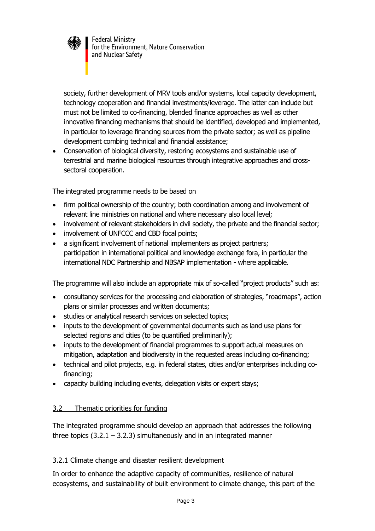

society, further development of MRV tools and/or systems, local capacity development, technology cooperation and financial investments/leverage. The latter can include but must not be limited to co-financing, blended finance approaches as well as other innovative financing mechanisms that should be identified, developed and implemented, in particular to leverage financing sources from the private sector; as well as pipeline development combing technical and financial assistance;

 Conservation of biological diversity, restoring ecosystems and sustainable use of terrestrial and marine biological resources through integrative approaches and crosssectoral cooperation.

The integrated programme needs to be based on

- firm political ownership of the country; both coordination among and involvement of relevant line ministries on national and where necessary also local level;
- involvement of relevant stakeholders in civil society, the private and the financial sector;
- involvement of UNFCCC and CBD focal points;
- a significant involvement of national implementers as project partners; participation in international political and knowledge exchange fora, in particular the international NDC Partnership and NBSAP implementation - where applicable.

The programme will also include an appropriate mix of so-called "project products" such as:

- consultancy services for the processing and elaboration of strategies, "roadmaps", action plans or similar processes and written documents;
- studies or analytical research services on selected topics;
- inputs to the development of governmental documents such as land use plans for selected regions and cities (to be quantified preliminarily);
- inputs to the development of financial programmes to support actual measures on mitigation, adaptation and biodiversity in the requested areas including co-financing;
- technical and pilot projects, e.g. in federal states, cities and/or enterprises including cofinancing;
- capacity building including events, delegation visits or expert stays;

## 3.2 Thematic priorities for funding

The integrated programme should develop an approach that addresses the following three topics  $(3.2.1 - 3.2.3)$  simultaneously and in an integrated manner

## 3.2.1 Climate change and disaster resilient development

In order to enhance the adaptive capacity of communities, resilience of natural ecosystems, and sustainability of built environment to climate change, this part of the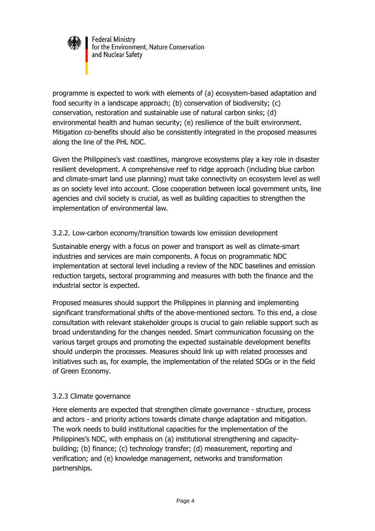

programme is expected to work with elements of (a) ecosystem-based adaptation and food security in a landscape approach; (b) conservation of biodiversity; (c) conservation, restoration and sustainable use of natural carbon sinks; (d) environmental health and human security; (e) resilience of the built environment. Mitigation co-benefits should also be consistently integrated in the proposed measures along the line of the PHL NDC.

Given the Philippines's vast coastlines, mangrove ecosystems play a key role in disaster resilient development. A comprehensive reef to ridge approach (including blue carbon and climate-smart land use planning) must take connectivity on ecosystem level as well as on society level into account. Close cooperation between local government units, line agencies and civil society is crucial, as well as building capacities to strengthen the implementation of environmental law.

## 3.2.2. Low-carbon economy/transition towards low emission development

Sustainable energy with a focus on power and transport as well as climate-smart industries and services are main components. A focus on programmatic NDC implementation at sectoral level including a review of the NDC baselines and emission reduction targets, sectoral programming and measures with both the finance and the industrial sector is expected.

Proposed measures should support the Philippines in planning and implementing significant transformational shifts of the above-mentioned sectors. To this end, a close consultation with relevant stakeholder groups is crucial to gain reliable support such as broad understanding for the changes needed. Smart communication focussing on the various target groups and promoting the expected sustainable development benefits should underpin the processes. Measures should link up with related processes and initiatives such as, for example, the implementation of the related SDGs or in the field of Green Economy.

## 3.2.3 Climate governance

Here elements are expected that strengthen climate governance - structure, process and actors - and priority actions towards climate change adaptation and mitigation. The work needs to build institutional capacities for the implementation of the Philippines's NDC, with emphasis on (a) institutional strengthening and capacitybuilding; (b) finance; (c) technology transfer; (d) measurement, reporting and verification; and (e) knowledge management, networks and transformation partnerships.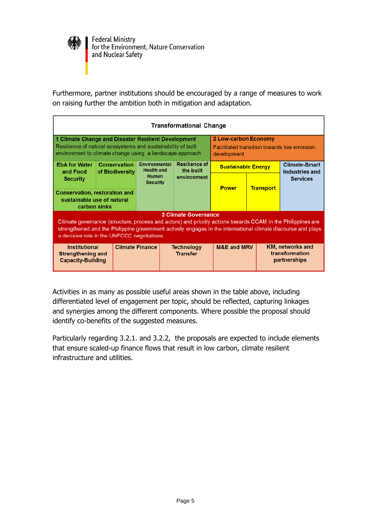

Furthermore, partner institutions should be encouraged by a range of measures to work on raising further the ambition both in mitigation and adaptation.

| Transformational Change                                                                                                                                                                                                                                                                                   |                 |                                             |                                      |                                                                                                  |                  |                                                           |  |
|-----------------------------------------------------------------------------------------------------------------------------------------------------------------------------------------------------------------------------------------------------------------------------------------------------------|-----------------|---------------------------------------------|--------------------------------------|--------------------------------------------------------------------------------------------------|------------------|-----------------------------------------------------------|--|
| 1 Climate Change and Disaster Resilient Development<br>Resilience of natural ecosystems and sustainability of built<br>environment to climate change using a landscape approach                                                                                                                           |                 |                                             |                                      | <b>2 Low-carbon Economy</b><br><b>Facilitated transition towards low emission</b><br>development |                  |                                                           |  |
| <b>EbA for Water : Conservation</b><br>and Food                                                                                                                                                                                                                                                           | of Biodiversity | <b>Environmental</b> :<br><b>Health and</b> | <b>Resilience of</b><br>the built    | <b>Sustainable Energy</b>                                                                        |                  | <b>Climate-Smart</b><br>Industries and<br><b>Services</b> |  |
| <b>Security</b><br><b>Conservation, restoration and</b><br>sustainable use of natural<br>carbon sinks                                                                                                                                                                                                     |                 | <b>Human</b><br><b>Security</b>             | environment                          | <b>Power</b>                                                                                     | <b>Transport</b> |                                                           |  |
| <b>3 Climate Governance</b><br>Climate governance (structure, process and actors) and priority actions towards CCAM in the Philippines are<br>strengthened and the Philippine government actively engages in the international climate discourse and plays<br>a decisive role in the UNFCCC negotiations. |                 |                                             |                                      |                                                                                                  |                  |                                                           |  |
| <b>Climate Finance</b><br><b>Institutional</b><br>Strengthening and<br><b>Capacity-Building</b>                                                                                                                                                                                                           |                 |                                             | <b>Technology</b><br><b>Transfer</b> | <b>M&amp;E and MRV</b>                                                                           |                  | <b>KM, networks and</b><br>transformation<br>partnerships |  |

Activities in as many as possible useful areas shown in the table above, including differentiated level of engagement per topic, should be reflected, capturing linkages and synergies among the different components. Where possible the proposal should identify co-benefits of the suggested measures.

Particularly regarding 3.2.1. and 3.2.2, the proposals are expected to include elements that ensure scaled-up finance flows that result in low carbon, climate resilient infrastructure and utilities.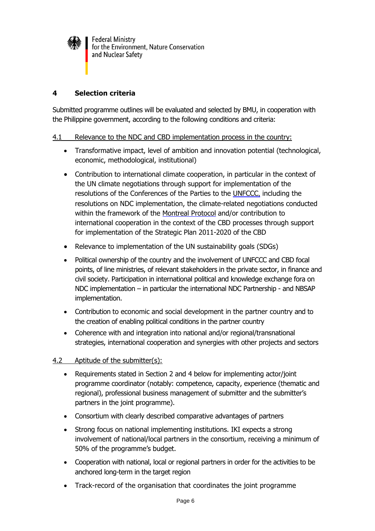

## **4 Selection criteria**

Submitted programme outlines will be evaluated and selected by BMU, in cooperation with the Philippine government, according to the following conditions and criteria:

#### 4.1 Relevance to the NDC and CBD implementation process in the country:

- Transformative impact, level of ambition and innovation potential (technological, economic, methodological, institutional)
- Contribution to international climate cooperation, in particular in the context of the UN climate negotiations through support for implementation of the resolutions of the Conferences of the Parties to the [UNFCCC](http://www.unfccc.int/), including the resolutions on NDC implementation, the climate-related negotiations conducted within the framework of the [Montreal Protocol](http://ozone.unep.org/new_site/en/montreal_protocol.php) and/or contribution to international cooperation in the context of the CBD processes through support for implementation of the [Strategic Plan 2011-2020 of the CBD](http://www.cbd.int/)
- Relevance to implementation of the UN sustainability goals (SDGs)
- Political ownership of the country and the involvement of UNFCCC and CBD focal points, of line ministries, of relevant stakeholders in the private sector, in finance and civil society. Participation in international political and knowledge exchange fora on NDC implementation – in particular the international NDC Partnership - and NBSAP implementation.
- Contribution to economic and social development in the partner country and to the creation of enabling political conditions in the partner country
- Coherence with and integration into national and/or regional/transnational strategies, international cooperation and synergies with other projects and sectors

#### 4.2 Aptitude of the submitter(s):

- Requirements stated in Section 2 and 4 below for implementing actor/joint programme coordinator (notably: competence, capacity, experience (thematic and regional), professional business management of submitter and the submitter's partners in the joint programme).
- Consortium with clearly described comparative advantages of partners
- Strong focus on national implementing institutions. IKI expects a strong involvement of national/local partners in the consortium, receiving a minimum of 50% of the programme's budget.
- Cooperation with national, local or regional partners in order for the activities to be anchored long-term in the target region
- Track-record of the organisation that coordinates the joint programme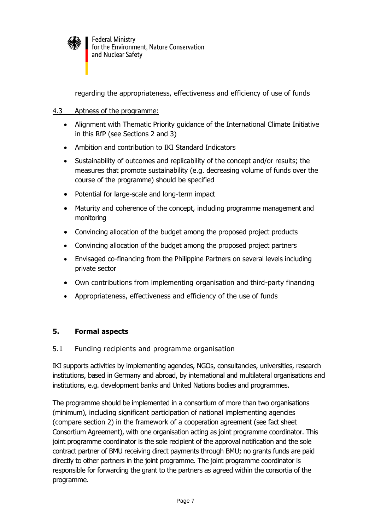

regarding the appropriateness, effectiveness and efficiency of use of funds

### 4.3 Aptness of the programme:

- Alignment with Thematic Priority guidance of the International Climate Initiative in this RfP (see Sections 2 and 3)
- Ambition and contribution to [IKI Standard Indicators](https://www.international-climate-initiative.com/en/project-funding/information-for-applicants/?iki_lang=en)
- Sustainability of outcomes and replicability of the concept and/or results; the measures that promote sustainability (e.g. decreasing volume of funds over the course of the programme) should be specified
- Potential for large-scale and long-term impact
- Maturity and coherence of the concept, including programme management and monitoring
- Convincing allocation of the budget among the proposed project products
- Convincing allocation of the budget among the proposed project partners
- Envisaged co-financing from the Philippine Partners on several levels including private sector
- Own contributions from implementing organisation and third-party financing
- Appropriateness, effectiveness and efficiency of the use of funds

## **5. Formal aspects**

#### 5.1 Funding recipients and programme organisation

IKI supports activities by implementing agencies, NGOs, consultancies, universities, research institutions, based in Germany and abroad, by international and multilateral organisations and institutions, e.g. development banks and United Nations bodies and programmes.

The programme should be implemented in a consortium of more than two organisations (minimum), including significant participation of national implementing agencies (compare section 2) in the framework of a cooperation agreement (see fact sheet Consortium Agreement), with one organisation acting as joint programme coordinator. This joint programme coordinator is the sole recipient of the approval notification and the sole contract partner of BMU receiving direct payments through BMU; no grants funds are paid directly to other partners in the joint programme. The joint programme coordinator is responsible for forwarding the grant to the partners as agreed within the consortia of the programme.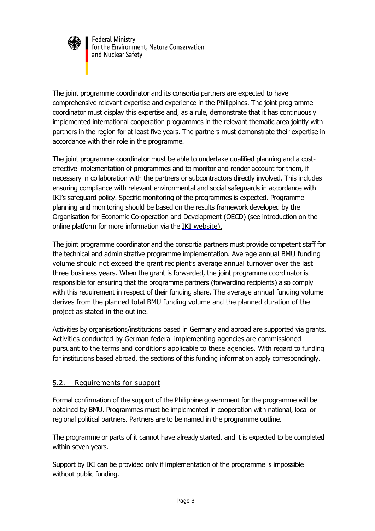

The joint programme coordinator and its consortia partners are expected to have comprehensive relevant expertise and experience in the Philippines. The joint programme coordinator must display this expertise and, as a rule, demonstrate that it has continuously implemented international cooperation programmes in the relevant thematic area jointly with partners in the region for at least five years. The partners must demonstrate their expertise in accordance with their role in the programme.

The joint programme coordinator must be able to undertake qualified planning and a costeffective implementation of programmes and to monitor and render account for them, if necessary in collaboration with the partners or subcontractors directly involved. This includes ensuring compliance with relevant environmental and social safeguards in accordance with IKI's safeguard policy. Specific monitoring of the programmes is expected. Programme planning and monitoring should be based on the results framework developed by the Organisation for Economic Co-operation and Development (OECD) (see introduction on the online platform for more information via the IKI [website\)](https://www.international-climate-initiative.com/en/project-funding/information-for-applicants/).

The joint programme coordinator and the consortia partners must provide competent staff for the technical and administrative programme implementation. Average annual BMU funding volume should not exceed the grant recipient's average annual turnover over the last three business years. When the grant is forwarded, the joint programme coordinator is responsible for ensuring that the programme partners (forwarding recipients) also comply with this requirement in respect of their funding share. The average annual funding volume derives from the planned total BMU funding volume and the planned duration of the project as stated in the outline.

Activities by organisations/institutions based in Germany and abroad are supported via grants. Activities conducted by German federal implementing agencies are commissioned pursuant to the terms and conditions applicable to these agencies. With regard to funding for institutions based abroad, the sections of this funding information apply correspondingly.

## 5.2. Requirements for support

Formal confirmation of the support of the Philippine government for the programme will be obtained by BMU. Programmes must be implemented in cooperation with national, local or regional political partners. Partners are to be named in the programme outline.

The programme or parts of it cannot have already started, and it is expected to be completed within seven years.

Support by IKI can be provided only if implementation of the programme is impossible without public funding.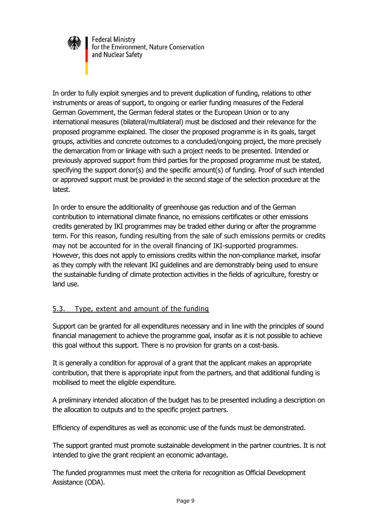

In order to fully exploit synergies and to prevent duplication of funding, relations to other instruments or areas of support, to ongoing or earlier funding measures of the Federal German Government, the German federal states or the European Union or to any international measures (bilateral/multilateral) must be disclosed and their relevance for the proposed programme explained. The closer the proposed programme is in its goals, target groups, activities and concrete outcomes to a concluded/ongoing project, the more precisely the demarcation from or linkage with such a project needs to be presented. Intended or previously approved support from third parties for the proposed programme must be stated, specifying the support donor(s) and the specific amount(s) of funding. Proof of such intended or approved support must be provided in the second stage of the selection procedure at the latest.

In order to ensure the additionality of greenhouse gas reduction and of the German contribution to international climate finance, no emissions certificates or other emissions credits generated by IKI programmes may be traded either during or after the programme term. For this reason, funding resulting from the sale of such emissions permits or credits may not be accounted for in the overall financing of IKI-supported programmes. However, this does not apply to emissions credits within the non-compliance market, insofar as they comply with the relevant IKI guidelines and are demonstrably being used to ensure the sustainable funding of climate protection activities in the fields of agriculture, forestry or land use.

## 5.3. Type, extent and amount of the funding

Support can be granted for all expenditures necessary and in line with the principles of sound financial management to achieve the programme goal, insofar as it is not possible to achieve this goal without this support. There is no provision for grants on a cost-basis.

It is generally a condition for approval of a grant that the applicant makes an appropriate contribution, that there is appropriate input from the partners, and that additional funding is mobilised to meet the eligible expenditure.

A preliminary intended allocation of the budget has to be presented including a description on the allocation to outputs and to the specific project partners.

Efficiency of expenditures as well as economic use of the funds must be demonstrated.

The support granted must promote sustainable development in the partner countries. It is not intended to give the grant recipient an economic advantage.

The funded programmes must meet the criteria for recognition as Official Development Assistance (ODA).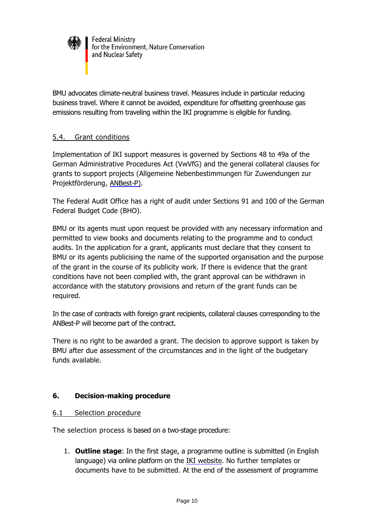

BMU advocates climate-neutral business travel. Measures include in particular reducing business travel. Where it cannot be avoided, expenditure for offsetting greenhouse gas emissions resulting from traveling within the IKI programme is eligible for funding.

### 5.4. Grant conditions

Implementation of IKI support measures is governed by Sections 48 to 49a of the German Administrative Procedures Act (VwVfG) and the general collateral clauses for grants to support projects (Allgemeine Nebenbestimmungen für Zuwendungen zur Projektförderung, [ANBest-P\).](http://www.bmub.bund.de/fileadmin/Daten_BMU/Download_PDF/Foerderprogramme/projektfoederung_nebenbestimmung_anbest_bf.pdf)

The Federal Audit Office has a right of audit under Sections 91 and 100 of the German Federal Budget Code (BHO).

BMU or its agents must upon request be provided with any necessary information and permitted to view books and documents relating to the programme and to conduct audits. In the application for a grant, applicants must declare that they consent to BMU or its agents publicising the name of the supported organisation and the purpose of the grant in the course of its publicity work. If there is evidence that the grant conditions have not been complied with, the grant approval can be withdrawn in accordance with the statutory provisions and return of the grant funds can be required.

In the case of contracts with foreign grant recipients, collateral clauses corresponding to the ANBest-P will become part of the contract.

There is no right to be awarded a grant. The decision to approve support is taken by BMU after due assessment of the circumstances and in the light of the budgetary funds available.

#### **6. Decision-making procedure**

#### 6.1 Selection procedure

The selection process is based on a two-stage procedure:

1. **Outline stage**: In the first stage, a programme outline is submitted (in English language) via online platform on the IKI [website.](https://www.international-climate-initiative.com/en/project-funding/information-for-applicants/) No further templates or documents have to be submitted. At the end of the assessment of programme